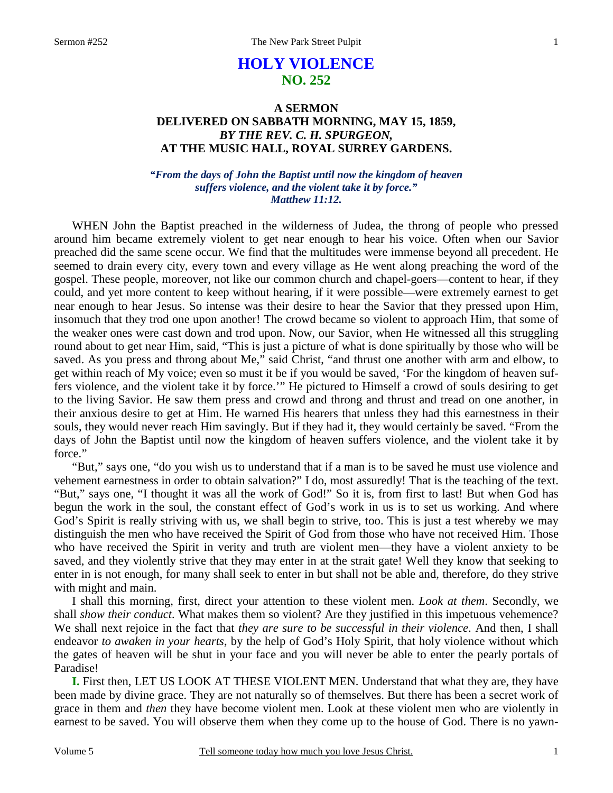# **HOLY VIOLENCE NO. 252**

## **A SERMON DELIVERED ON SABBATH MORNING, MAY 15, 1859,**  *BY THE REV. C. H. SPURGEON,*  **AT THE MUSIC HALL, ROYAL SURREY GARDENS.**

### *"From the days of John the Baptist until now the kingdom of heaven suffers violence, and the violent take it by force." Matthew 11:12.*

WHEN John the Baptist preached in the wilderness of Judea, the throng of people who pressed around him became extremely violent to get near enough to hear his voice. Often when our Savior preached did the same scene occur. We find that the multitudes were immense beyond all precedent. He seemed to drain every city, every town and every village as He went along preaching the word of the gospel. These people, moreover, not like our common church and chapel-goers—content to hear, if they could, and yet more content to keep without hearing, if it were possible—were extremely earnest to get near enough to hear Jesus. So intense was their desire to hear the Savior that they pressed upon Him, insomuch that they trod one upon another! The crowd became so violent to approach Him, that some of the weaker ones were cast down and trod upon. Now, our Savior, when He witnessed all this struggling round about to get near Him, said, "This is just a picture of what is done spiritually by those who will be saved. As you press and throng about Me," said Christ, "and thrust one another with arm and elbow, to get within reach of My voice; even so must it be if you would be saved, 'For the kingdom of heaven suffers violence, and the violent take it by force.'" He pictured to Himself a crowd of souls desiring to get to the living Savior. He saw them press and crowd and throng and thrust and tread on one another, in their anxious desire to get at Him. He warned His hearers that unless they had this earnestness in their souls, they would never reach Him savingly. But if they had it, they would certainly be saved. "From the days of John the Baptist until now the kingdom of heaven suffers violence, and the violent take it by force."

"But," says one, "do you wish us to understand that if a man is to be saved he must use violence and vehement earnestness in order to obtain salvation?" I do, most assuredly! That is the teaching of the text. "But," says one, "I thought it was all the work of God!" So it is, from first to last! But when God has begun the work in the soul, the constant effect of God's work in us is to set us working. And where God's Spirit is really striving with us, we shall begin to strive, too. This is just a test whereby we may distinguish the men who have received the Spirit of God from those who have not received Him. Those who have received the Spirit in verity and truth are violent men—they have a violent anxiety to be saved, and they violently strive that they may enter in at the strait gate! Well they know that seeking to enter in is not enough, for many shall seek to enter in but shall not be able and, therefore, do they strive with might and main.

I shall this morning, first, direct your attention to these violent men. *Look at them*. Secondly, we shall *show their conduct*. What makes them so violent? Are they justified in this impetuous vehemence? We shall next rejoice in the fact that *they are sure to be successful in their violence*. And then, I shall endeavor *to awaken in your hearts*, by the help of God's Holy Spirit, that holy violence without which the gates of heaven will be shut in your face and you will never be able to enter the pearly portals of Paradise!

**I.** First then, LET US LOOK AT THESE VIOLENT MEN. Understand that what they are, they have been made by divine grace. They are not naturally so of themselves. But there has been a secret work of grace in them and *then* they have become violent men. Look at these violent men who are violently in earnest to be saved. You will observe them when they come up to the house of God. There is no yawn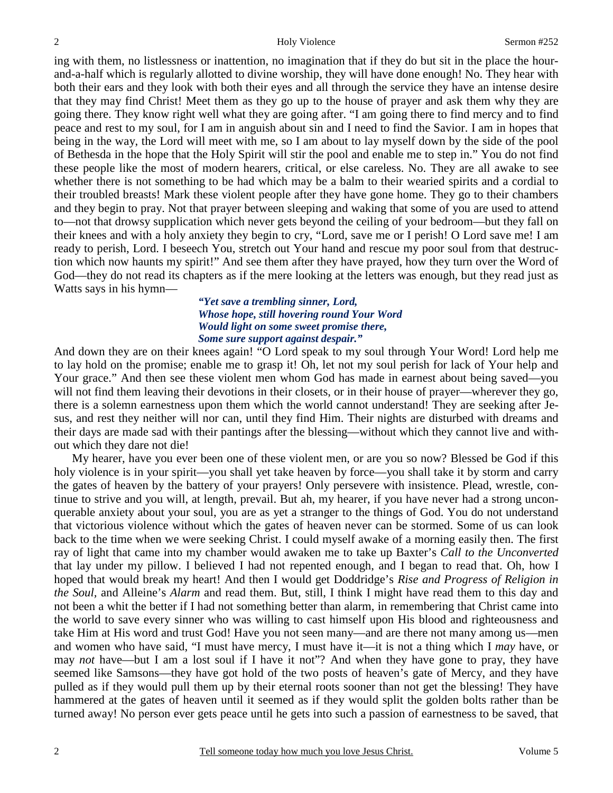ing with them, no listlessness or inattention, no imagination that if they do but sit in the place the hourand-a-half which is regularly allotted to divine worship, they will have done enough! No. They hear with both their ears and they look with both their eyes and all through the service they have an intense desire that they may find Christ! Meet them as they go up to the house of prayer and ask them why they are going there. They know right well what they are going after. "I am going there to find mercy and to find peace and rest to my soul, for I am in anguish about sin and I need to find the Savior. I am in hopes that being in the way, the Lord will meet with me, so I am about to lay myself down by the side of the pool of Bethesda in the hope that the Holy Spirit will stir the pool and enable me to step in." You do not find these people like the most of modern hearers, critical, or else careless. No. They are all awake to see whether there is not something to be had which may be a balm to their wearied spirits and a cordial to their troubled breasts! Mark these violent people after they have gone home. They go to their chambers and they begin to pray. Not that prayer between sleeping and waking that some of you are used to attend to—not that drowsy supplication which never gets beyond the ceiling of your bedroom—but they fall on their knees and with a holy anxiety they begin to cry, "Lord, save me or I perish! O Lord save me! I am ready to perish, Lord. I beseech You, stretch out Your hand and rescue my poor soul from that destruction which now haunts my spirit!" And see them after they have prayed, how they turn over the Word of God—they do not read its chapters as if the mere looking at the letters was enough, but they read just as Watts says in his hymn—

### *"Yet save a trembling sinner, Lord, Whose hope, still hovering round Your Word Would light on some sweet promise there, Some sure support against despair."*

And down they are on their knees again! "O Lord speak to my soul through Your Word! Lord help me to lay hold on the promise; enable me to grasp it! Oh, let not my soul perish for lack of Your help and Your grace." And then see these violent men whom God has made in earnest about being saved—you will not find them leaving their devotions in their closets, or in their house of prayer—wherever they go, there is a solemn earnestness upon them which the world cannot understand! They are seeking after Jesus, and rest they neither will nor can, until they find Him. Their nights are disturbed with dreams and their days are made sad with their pantings after the blessing—without which they cannot live and without which they dare not die!

My hearer, have you ever been one of these violent men, or are you so now? Blessed be God if this holy violence is in your spirit—you shall yet take heaven by force—you shall take it by storm and carry the gates of heaven by the battery of your prayers! Only persevere with insistence. Plead, wrestle, continue to strive and you will, at length, prevail. But ah, my hearer, if you have never had a strong unconquerable anxiety about your soul, you are as yet a stranger to the things of God. You do not understand that victorious violence without which the gates of heaven never can be stormed. Some of us can look back to the time when we were seeking Christ. I could myself awake of a morning easily then. The first ray of light that came into my chamber would awaken me to take up Baxter's *Call to the Unconverted* that lay under my pillow. I believed I had not repented enough, and I began to read that. Oh, how I hoped that would break my heart! And then I would get Doddridge's *Rise and Progress of Religion in the Soul,* and Alleine's *Alarm* and read them. But, still, I think I might have read them to this day and not been a whit the better if I had not something better than alarm, in remembering that Christ came into the world to save every sinner who was willing to cast himself upon His blood and righteousness and take Him at His word and trust God! Have you not seen many—and are there not many among us—men and women who have said, "I must have mercy, I must have it—it is not a thing which I *may* have, or may *not* have—but I am a lost soul if I have it not"? And when they have gone to pray, they have seemed like Samsons—they have got hold of the two posts of heaven's gate of Mercy, and they have pulled as if they would pull them up by their eternal roots sooner than not get the blessing! They have hammered at the gates of heaven until it seemed as if they would split the golden bolts rather than be turned away! No person ever gets peace until he gets into such a passion of earnestness to be saved, that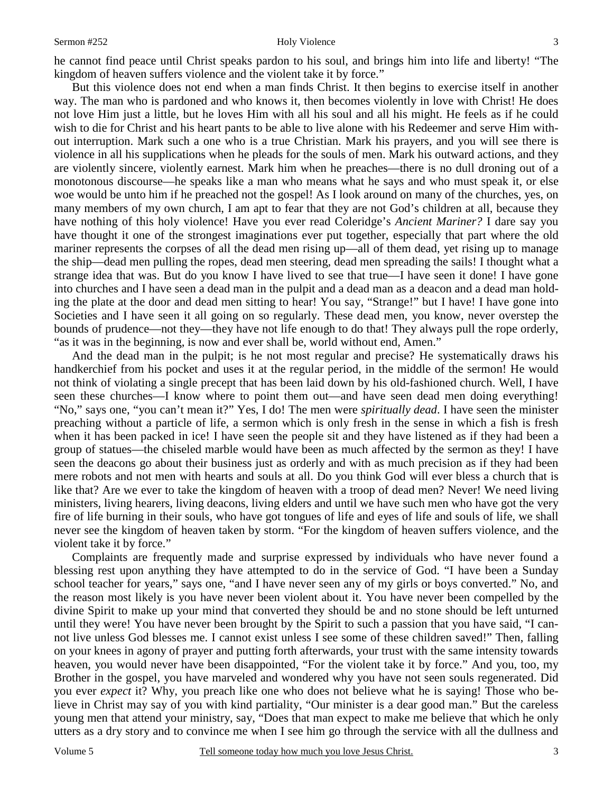#### Sermon #252 Holy Violence

But this violence does not end when a man finds Christ. It then begins to exercise itself in another way. The man who is pardoned and who knows it, then becomes violently in love with Christ! He does not love Him just a little, but he loves Him with all his soul and all his might. He feels as if he could wish to die for Christ and his heart pants to be able to live alone with his Redeemer and serve Him without interruption. Mark such a one who is a true Christian. Mark his prayers, and you will see there is violence in all his supplications when he pleads for the souls of men. Mark his outward actions, and they are violently sincere, violently earnest. Mark him when he preaches—there is no dull droning out of a monotonous discourse—he speaks like a man who means what he says and who must speak it, or else woe would be unto him if he preached not the gospel! As I look around on many of the churches, yes, on many members of my own church, I am apt to fear that they are not God's children at all, because they have nothing of this holy violence! Have you ever read Coleridge's *Ancient Mariner?* I dare say you have thought it one of the strongest imaginations ever put together, especially that part where the old mariner represents the corpses of all the dead men rising up—all of them dead, yet rising up to manage the ship—dead men pulling the ropes, dead men steering, dead men spreading the sails! I thought what a strange idea that was. But do you know I have lived to see that true—I have seen it done! I have gone into churches and I have seen a dead man in the pulpit and a dead man as a deacon and a dead man holding the plate at the door and dead men sitting to hear! You say, "Strange!" but I have! I have gone into Societies and I have seen it all going on so regularly. These dead men, you know, never overstep the bounds of prudence—not they—they have not life enough to do that! They always pull the rope orderly, "as it was in the beginning, is now and ever shall be, world without end, Amen."

And the dead man in the pulpit; is he not most regular and precise? He systematically draws his handkerchief from his pocket and uses it at the regular period, in the middle of the sermon! He would not think of violating a single precept that has been laid down by his old-fashioned church. Well, I have seen these churches—I know where to point them out—and have seen dead men doing everything! "No," says one, "you can't mean it?" Yes, I do! The men were *spiritually dead*. I have seen the minister preaching without a particle of life, a sermon which is only fresh in the sense in which a fish is fresh when it has been packed in ice! I have seen the people sit and they have listened as if they had been a group of statues—the chiseled marble would have been as much affected by the sermon as they! I have seen the deacons go about their business just as orderly and with as much precision as if they had been mere robots and not men with hearts and souls at all. Do you think God will ever bless a church that is like that? Are we ever to take the kingdom of heaven with a troop of dead men? Never! We need living ministers, living hearers, living deacons, living elders and until we have such men who have got the very fire of life burning in their souls, who have got tongues of life and eyes of life and souls of life, we shall never see the kingdom of heaven taken by storm. "For the kingdom of heaven suffers violence, and the violent take it by force."

Complaints are frequently made and surprise expressed by individuals who have never found a blessing rest upon anything they have attempted to do in the service of God. "I have been a Sunday school teacher for years," says one, "and I have never seen any of my girls or boys converted." No, and the reason most likely is you have never been violent about it. You have never been compelled by the divine Spirit to make up your mind that converted they should be and no stone should be left unturned until they were! You have never been brought by the Spirit to such a passion that you have said, "I cannot live unless God blesses me. I cannot exist unless I see some of these children saved!" Then, falling on your knees in agony of prayer and putting forth afterwards, your trust with the same intensity towards heaven, you would never have been disappointed, "For the violent take it by force." And you, too, my Brother in the gospel, you have marveled and wondered why you have not seen souls regenerated. Did you ever *expect* it? Why, you preach like one who does not believe what he is saying! Those who believe in Christ may say of you with kind partiality, "Our minister is a dear good man." But the careless young men that attend your ministry, say, "Does that man expect to make me believe that which he only utters as a dry story and to convince me when I see him go through the service with all the dullness and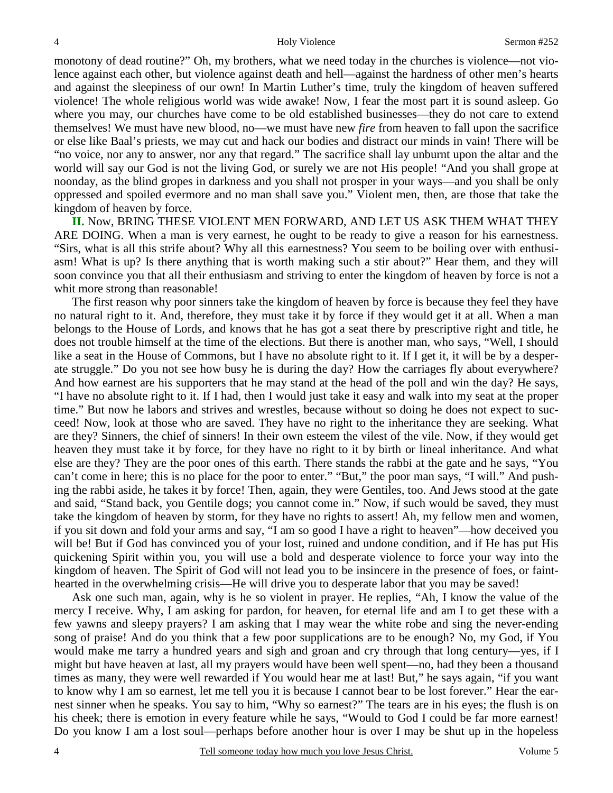monotony of dead routine?" Oh, my brothers, what we need today in the churches is violence—not violence against each other, but violence against death and hell—against the hardness of other men's hearts and against the sleepiness of our own! In Martin Luther's time, truly the kingdom of heaven suffered violence! The whole religious world was wide awake! Now, I fear the most part it is sound asleep. Go where you may, our churches have come to be old established businesses—they do not care to extend themselves! We must have new blood, no—we must have new *fire* from heaven to fall upon the sacrifice or else like Baal's priests, we may cut and hack our bodies and distract our minds in vain! There will be "no voice, nor any to answer, nor any that regard." The sacrifice shall lay unburnt upon the altar and the world will say our God is not the living God, or surely we are not His people! "And you shall grope at noonday, as the blind gropes in darkness and you shall not prosper in your ways—and you shall be only oppressed and spoiled evermore and no man shall save you." Violent men, then, are those that take the kingdom of heaven by force.

**II.** Now, BRING THESE VIOLENT MEN FORWARD, AND LET US ASK THEM WHAT THEY ARE DOING. When a man is very earnest, he ought to be ready to give a reason for his earnestness. "Sirs, what is all this strife about? Why all this earnestness? You seem to be boiling over with enthusiasm! What is up? Is there anything that is worth making such a stir about?" Hear them, and they will soon convince you that all their enthusiasm and striving to enter the kingdom of heaven by force is not a whit more strong than reasonable!

The first reason why poor sinners take the kingdom of heaven by force is because they feel they have no natural right to it. And, therefore, they must take it by force if they would get it at all. When a man belongs to the House of Lords, and knows that he has got a seat there by prescriptive right and title, he does not trouble himself at the time of the elections. But there is another man, who says, "Well, I should like a seat in the House of Commons, but I have no absolute right to it. If I get it, it will be by a desperate struggle." Do you not see how busy he is during the day? How the carriages fly about everywhere? And how earnest are his supporters that he may stand at the head of the poll and win the day? He says, "I have no absolute right to it. If I had, then I would just take it easy and walk into my seat at the proper time." But now he labors and strives and wrestles, because without so doing he does not expect to succeed! Now, look at those who are saved. They have no right to the inheritance they are seeking. What are they? Sinners, the chief of sinners! In their own esteem the vilest of the vile. Now, if they would get heaven they must take it by force, for they have no right to it by birth or lineal inheritance. And what else are they? They are the poor ones of this earth. There stands the rabbi at the gate and he says, "You can't come in here; this is no place for the poor to enter." "But," the poor man says, "I will." And pushing the rabbi aside, he takes it by force! Then, again, they were Gentiles, too. And Jews stood at the gate and said, "Stand back, you Gentile dogs; you cannot come in." Now, if such would be saved, they must take the kingdom of heaven by storm, for they have no rights to assert! Ah, my fellow men and women, if you sit down and fold your arms and say, "I am so good I have a right to heaven"—how deceived you will be! But if God has convinced you of your lost, ruined and undone condition, and if He has put His quickening Spirit within you, you will use a bold and desperate violence to force your way into the kingdom of heaven. The Spirit of God will not lead you to be insincere in the presence of foes, or fainthearted in the overwhelming crisis—He will drive you to desperate labor that you may be saved!

Ask one such man, again, why is he so violent in prayer. He replies, "Ah, I know the value of the mercy I receive. Why, I am asking for pardon, for heaven, for eternal life and am I to get these with a few yawns and sleepy prayers? I am asking that I may wear the white robe and sing the never-ending song of praise! And do you think that a few poor supplications are to be enough? No, my God, if You would make me tarry a hundred years and sigh and groan and cry through that long century—yes, if I might but have heaven at last, all my prayers would have been well spent—no, had they been a thousand times as many, they were well rewarded if You would hear me at last! But," he says again, "if you want to know why I am so earnest, let me tell you it is because I cannot bear to be lost forever." Hear the earnest sinner when he speaks. You say to him, "Why so earnest?" The tears are in his eyes; the flush is on his cheek; there is emotion in every feature while he says, "Would to God I could be far more earnest! Do you know I am a lost soul—perhaps before another hour is over I may be shut up in the hopeless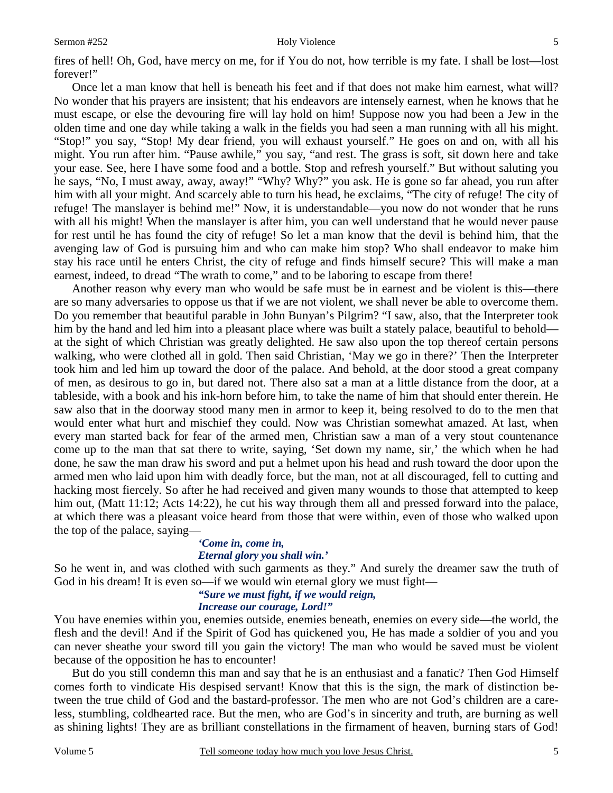#### Sermon #252 Holy Violence

fires of hell! Oh, God, have mercy on me, for if You do not, how terrible is my fate. I shall be lost—lost forever!"

Once let a man know that hell is beneath his feet and if that does not make him earnest, what will? No wonder that his prayers are insistent; that his endeavors are intensely earnest, when he knows that he must escape, or else the devouring fire will lay hold on him! Suppose now you had been a Jew in the olden time and one day while taking a walk in the fields you had seen a man running with all his might. "Stop!" you say, "Stop! My dear friend, you will exhaust yourself." He goes on and on, with all his might. You run after him. "Pause awhile," you say, "and rest. The grass is soft, sit down here and take your ease. See, here I have some food and a bottle. Stop and refresh yourself." But without saluting you he says, "No, I must away, away, away!" "Why? Why?" you ask. He is gone so far ahead, you run after him with all your might. And scarcely able to turn his head, he exclaims, "The city of refuge! The city of refuge! The manslayer is behind me!" Now, it is understandable—you now do not wonder that he runs with all his might! When the manslayer is after him, you can well understand that he would never pause for rest until he has found the city of refuge! So let a man know that the devil is behind him, that the avenging law of God is pursuing him and who can make him stop? Who shall endeavor to make him stay his race until he enters Christ, the city of refuge and finds himself secure? This will make a man earnest, indeed, to dread "The wrath to come," and to be laboring to escape from there!

Another reason why every man who would be safe must be in earnest and be violent is this—there are so many adversaries to oppose us that if we are not violent, we shall never be able to overcome them. Do you remember that beautiful parable in John Bunyan's Pilgrim? "I saw, also, that the Interpreter took him by the hand and led him into a pleasant place where was built a stately palace, beautiful to behold at the sight of which Christian was greatly delighted. He saw also upon the top thereof certain persons walking, who were clothed all in gold. Then said Christian, 'May we go in there?' Then the Interpreter took him and led him up toward the door of the palace. And behold, at the door stood a great company of men, as desirous to go in, but dared not. There also sat a man at a little distance from the door, at a tableside, with a book and his ink-horn before him, to take the name of him that should enter therein. He saw also that in the doorway stood many men in armor to keep it, being resolved to do to the men that would enter what hurt and mischief they could. Now was Christian somewhat amazed. At last, when every man started back for fear of the armed men, Christian saw a man of a very stout countenance come up to the man that sat there to write, saying, 'Set down my name, sir,' the which when he had done, he saw the man draw his sword and put a helmet upon his head and rush toward the door upon the armed men who laid upon him with deadly force, but the man, not at all discouraged, fell to cutting and hacking most fiercely. So after he had received and given many wounds to those that attempted to keep him out, (Matt 11:12; Acts 14:22), he cut his way through them all and pressed forward into the palace, at which there was a pleasant voice heard from those that were within, even of those who walked upon the top of the palace, saying—

### *'Come in, come in,*

#### *Eternal glory you shall win.'*

So he went in, and was clothed with such garments as they." And surely the dreamer saw the truth of God in his dream! It is even so—if we would win eternal glory we must fight—

### *"Sure we must fight, if we would reign,*

#### *Increase our courage, Lord!"*

You have enemies within you, enemies outside, enemies beneath, enemies on every side—the world, the flesh and the devil! And if the Spirit of God has quickened you, He has made a soldier of you and you can never sheathe your sword till you gain the victory! The man who would be saved must be violent because of the opposition he has to encounter!

But do you still condemn this man and say that he is an enthusiast and a fanatic? Then God Himself comes forth to vindicate His despised servant! Know that this is the sign, the mark of distinction between the true child of God and the bastard-professor. The men who are not God's children are a careless, stumbling, coldhearted race. But the men, who are God's in sincerity and truth, are burning as well as shining lights! They are as brilliant constellations in the firmament of heaven, burning stars of God!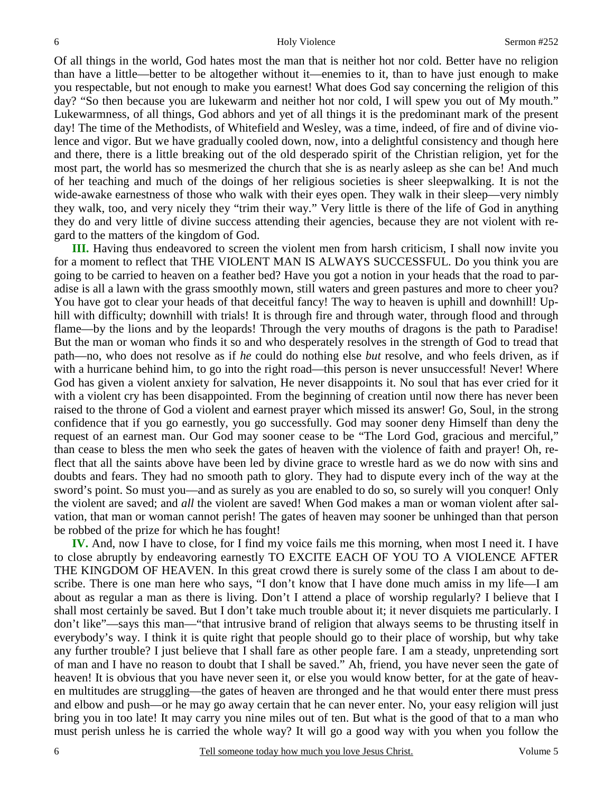Of all things in the world, God hates most the man that is neither hot nor cold. Better have no religion than have a little—better to be altogether without it—enemies to it, than to have just enough to make you respectable, but not enough to make you earnest! What does God say concerning the religion of this day? "So then because you are lukewarm and neither hot nor cold, I will spew you out of My mouth." Lukewarmness, of all things, God abhors and yet of all things it is the predominant mark of the present day! The time of the Methodists, of Whitefield and Wesley, was a time, indeed, of fire and of divine violence and vigor. But we have gradually cooled down, now, into a delightful consistency and though here and there, there is a little breaking out of the old desperado spirit of the Christian religion, yet for the most part, the world has so mesmerized the church that she is as nearly asleep as she can be! And much of her teaching and much of the doings of her religious societies is sheer sleepwalking. It is not the wide-awake earnestness of those who walk with their eyes open. They walk in their sleep—very nimbly they walk, too, and very nicely they "trim their way." Very little is there of the life of God in anything they do and very little of divine success attending their agencies, because they are not violent with regard to the matters of the kingdom of God.

**III.** Having thus endeavored to screen the violent men from harsh criticism, I shall now invite you for a moment to reflect that THE VIOLENT MAN IS ALWAYS SUCCESSFUL. Do you think you are going to be carried to heaven on a feather bed? Have you got a notion in your heads that the road to paradise is all a lawn with the grass smoothly mown, still waters and green pastures and more to cheer you? You have got to clear your heads of that deceitful fancy! The way to heaven is uphill and downhill! Uphill with difficulty; downhill with trials! It is through fire and through water, through flood and through flame—by the lions and by the leopards! Through the very mouths of dragons is the path to Paradise! But the man or woman who finds it so and who desperately resolves in the strength of God to tread that path—no, who does not resolve as if *he* could do nothing else *but* resolve, and who feels driven, as if with a hurricane behind him, to go into the right road—this person is never unsuccessful! Never! Where God has given a violent anxiety for salvation, He never disappoints it. No soul that has ever cried for it with a violent cry has been disappointed. From the beginning of creation until now there has never been raised to the throne of God a violent and earnest prayer which missed its answer! Go, Soul, in the strong confidence that if you go earnestly, you go successfully. God may sooner deny Himself than deny the request of an earnest man. Our God may sooner cease to be "The Lord God, gracious and merciful," than cease to bless the men who seek the gates of heaven with the violence of faith and prayer! Oh, reflect that all the saints above have been led by divine grace to wrestle hard as we do now with sins and doubts and fears. They had no smooth path to glory. They had to dispute every inch of the way at the sword's point. So must you—and as surely as you are enabled to do so, so surely will you conquer! Only the violent are saved; and *all* the violent are saved! When God makes a man or woman violent after salvation, that man or woman cannot perish! The gates of heaven may sooner be unhinged than that person be robbed of the prize for which he has fought!

**IV.** And, now I have to close, for I find my voice fails me this morning, when most I need it. I have to close abruptly by endeavoring earnestly TO EXCITE EACH OF YOU TO A VIOLENCE AFTER THE KINGDOM OF HEAVEN. In this great crowd there is surely some of the class I am about to describe. There is one man here who says, "I don't know that I have done much amiss in my life—I am about as regular a man as there is living. Don't I attend a place of worship regularly? I believe that I shall most certainly be saved. But I don't take much trouble about it; it never disquiets me particularly. I don't like"—says this man—"that intrusive brand of religion that always seems to be thrusting itself in everybody's way. I think it is quite right that people should go to their place of worship, but why take any further trouble? I just believe that I shall fare as other people fare. I am a steady, unpretending sort of man and I have no reason to doubt that I shall be saved." Ah, friend, you have never seen the gate of heaven! It is obvious that you have never seen it, or else you would know better, for at the gate of heaven multitudes are struggling—the gates of heaven are thronged and he that would enter there must press and elbow and push—or he may go away certain that he can never enter. No, your easy religion will just bring you in too late! It may carry you nine miles out of ten. But what is the good of that to a man who must perish unless he is carried the whole way? It will go a good way with you when you follow the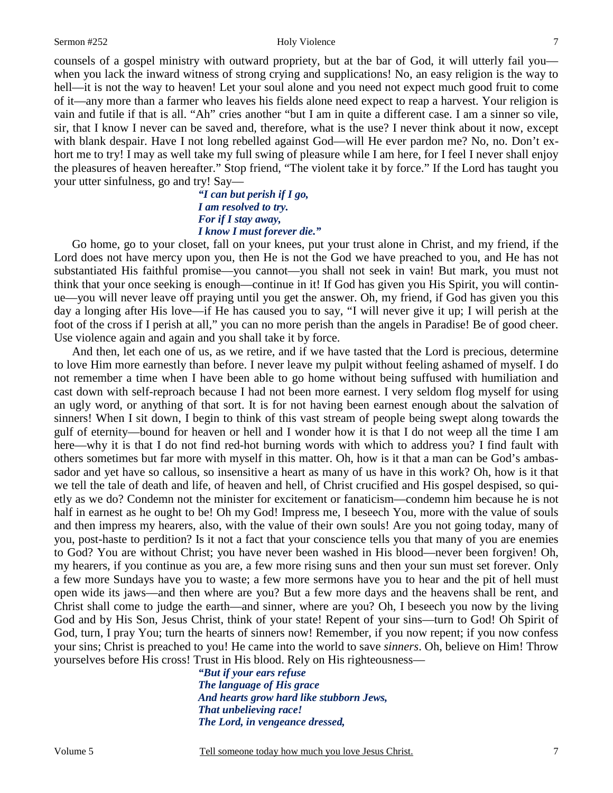#### Sermon #252 Holy Violence

counsels of a gospel ministry with outward propriety, but at the bar of God, it will utterly fail you when you lack the inward witness of strong crying and supplications! No, an easy religion is the way to hell—it is not the way to heaven! Let your soul alone and you need not expect much good fruit to come of it—any more than a farmer who leaves his fields alone need expect to reap a harvest. Your religion is vain and futile if that is all. "Ah" cries another "but I am in quite a different case. I am a sinner so vile, sir, that I know I never can be saved and, therefore, what is the use? I never think about it now, except with blank despair. Have I not long rebelled against God—will He ever pardon me? No, no. Don't exhort me to try! I may as well take my full swing of pleasure while I am here, for I feel I never shall enjoy the pleasures of heaven hereafter." Stop friend, "The violent take it by force." If the Lord has taught you your utter sinfulness, go and try! Say—

> *"I can but perish if I go, I am resolved to try. For if I stay away, I know I must forever die."*

Go home, go to your closet, fall on your knees, put your trust alone in Christ, and my friend, if the Lord does not have mercy upon you, then He is not the God we have preached to you, and He has not substantiated His faithful promise—you cannot—you shall not seek in vain! But mark, you must not think that your once seeking is enough—continue in it! If God has given you His Spirit, you will continue—you will never leave off praying until you get the answer. Oh, my friend, if God has given you this day a longing after His love—if He has caused you to say, "I will never give it up; I will perish at the foot of the cross if I perish at all," you can no more perish than the angels in Paradise! Be of good cheer. Use violence again and again and you shall take it by force.

And then, let each one of us, as we retire, and if we have tasted that the Lord is precious, determine to love Him more earnestly than before. I never leave my pulpit without feeling ashamed of myself. I do not remember a time when I have been able to go home without being suffused with humiliation and cast down with self-reproach because I had not been more earnest. I very seldom flog myself for using an ugly word, or anything of that sort. It is for not having been earnest enough about the salvation of sinners! When I sit down, I begin to think of this vast stream of people being swept along towards the gulf of eternity—bound for heaven or hell and I wonder how it is that I do not weep all the time I am here—why it is that I do not find red-hot burning words with which to address you? I find fault with others sometimes but far more with myself in this matter. Oh, how is it that a man can be God's ambassador and yet have so callous, so insensitive a heart as many of us have in this work? Oh, how is it that we tell the tale of death and life, of heaven and hell, of Christ crucified and His gospel despised, so quietly as we do? Condemn not the minister for excitement or fanaticism—condemn him because he is not half in earnest as he ought to be! Oh my God! Impress me, I beseech You, more with the value of souls and then impress my hearers, also, with the value of their own souls! Are you not going today, many of you, post-haste to perdition? Is it not a fact that your conscience tells you that many of you are enemies to God? You are without Christ; you have never been washed in His blood—never been forgiven! Oh, my hearers, if you continue as you are, a few more rising suns and then your sun must set forever. Only a few more Sundays have you to waste; a few more sermons have you to hear and the pit of hell must open wide its jaws—and then where are you? But a few more days and the heavens shall be rent, and Christ shall come to judge the earth—and sinner, where are you? Oh, I beseech you now by the living God and by His Son, Jesus Christ, think of your state! Repent of your sins—turn to God! Oh Spirit of God, turn, I pray You; turn the hearts of sinners now! Remember, if you now repent; if you now confess your sins; Christ is preached to you! He came into the world to save *sinners*. Oh, believe on Him! Throw yourselves before His cross! Trust in His blood. Rely on His righteousness—

> *"But if your ears refuse The language of His grace And hearts grow hard like stubborn Jews, That unbelieving race! The Lord, in vengeance dressed,*